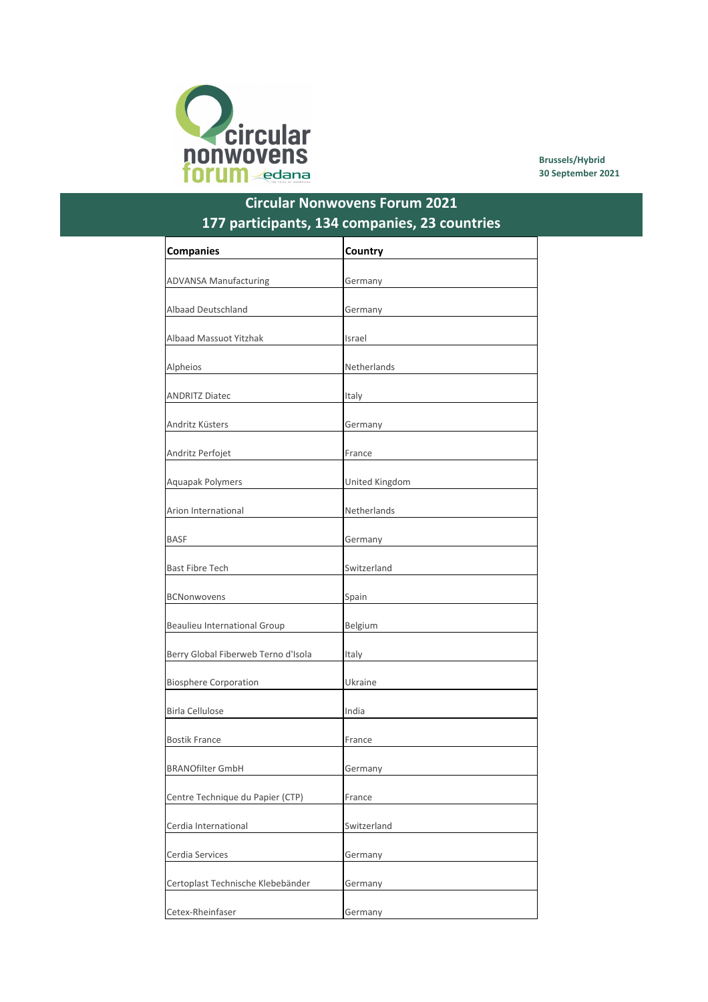

Brussels/Hybrid 30 September 2021

## Circular Nonwovens Forum 2021 177 participants, 134 companies, 23 countries

| <b>Companies</b>                    | Country        |
|-------------------------------------|----------------|
| <b>ADVANSA Manufacturing</b>        | Germany        |
|                                     |                |
| <b>Albaad Deutschland</b>           | Germany        |
| <b>Albaad Massuot Yitzhak</b>       | Israel         |
| Alpheios                            | Netherlands    |
| <b>ANDRITZ Diatec</b>               | Italy          |
| Andritz Küsters                     | Germany        |
| Andritz Perfojet                    | France         |
| Aquapak Polymers                    | United Kingdom |
| Arion International                 | Netherlands    |
|                                     |                |
| <b>BASF</b>                         | Germany        |
| <b>Bast Fibre Tech</b>              | Switzerland    |
| <b>BCNonwovens</b>                  | Spain          |
| <b>Beaulieu International Group</b> | Belgium        |
| Berry Global Fiberweb Terno d'Isola | Italy          |
| <b>Biosphere Corporation</b>        | Ukraine        |
| <b>Birla Cellulose</b>              | India          |
| <b>Bostik France</b>                | France         |
| <b>BRANOfilter GmbH</b>             | Germany        |
| Centre Technique du Papier (CTP)    | France         |
| Cerdia International                | Switzerland    |
| Cerdia Services                     | Germany        |
| Certoplast Technische Klebebänder   | Germany        |
| Cetex-Rheinfaser                    | Germany        |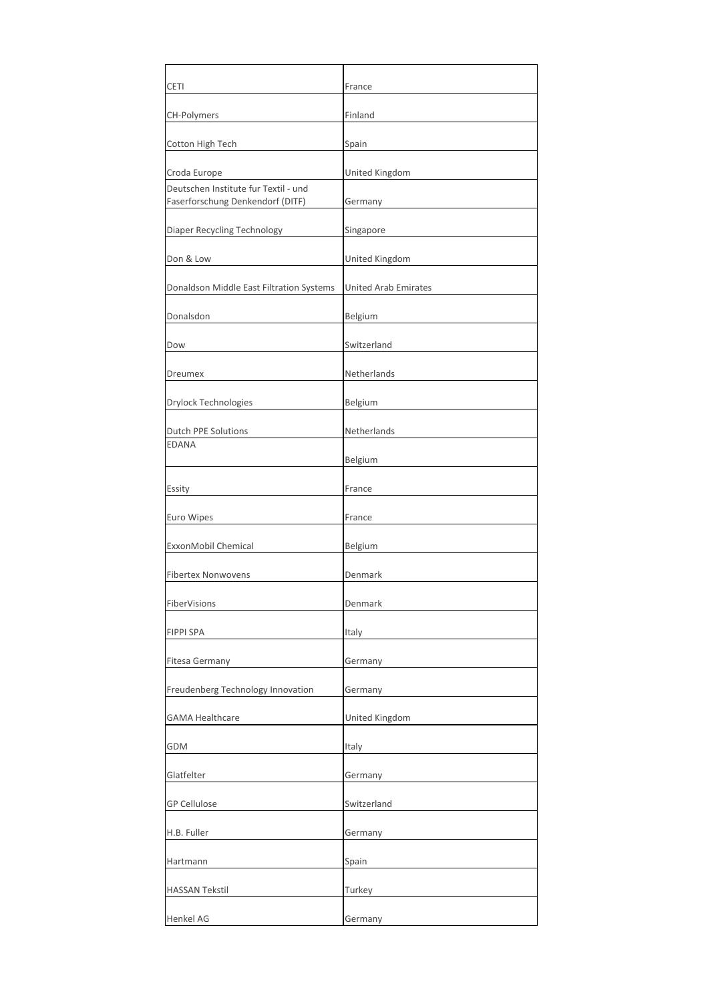| <b>CETI</b>                                                              | France                      |
|--------------------------------------------------------------------------|-----------------------------|
| <b>CH-Polymers</b>                                                       | Finland                     |
| Cotton High Tech                                                         | Spain                       |
| Croda Europe                                                             | United Kingdom              |
| Deutschen Institute fur Textil - und<br>Faserforschung Denkendorf (DITF) | Germany                     |
| Diaper Recycling Technology                                              | Singapore                   |
| Don & Low                                                                | United Kingdom              |
| Donaldson Middle East Filtration Systems                                 | <b>United Arab Emirates</b> |
| Donalsdon                                                                | Belgium                     |
| Dow                                                                      | Switzerland                 |
| Dreumex                                                                  | Netherlands                 |
| <b>Drylock Technologies</b>                                              | Belgium                     |
| Dutch PPE Solutions                                                      | Netherlands                 |
| <b>EDANA</b>                                                             | Belgium                     |
| Essity                                                                   | France                      |
| Euro Wipes                                                               | France                      |
| ExxonMobil Chemical                                                      | Belgium                     |
| <b>Fibertex Nonwovens</b>                                                | Denmark                     |
| FiberVisions                                                             | Denmark                     |
| <b>FIPPI SPA</b>                                                         | Italy                       |
| <b>Fitesa Germany</b>                                                    | Germany                     |
| Freudenberg Technology Innovation                                        | Germany                     |
| <b>GAMA Healthcare</b>                                                   | United Kingdom              |
| GDM                                                                      | Italy                       |
| Glatfelter                                                               | Germany                     |
| <b>GP Cellulose</b>                                                      | Switzerland                 |
| H.B. Fuller                                                              | Germany                     |
| Hartmann                                                                 | Spain                       |
| <b>HASSAN Tekstil</b>                                                    | Turkey                      |
| Henkel AG                                                                | Germany                     |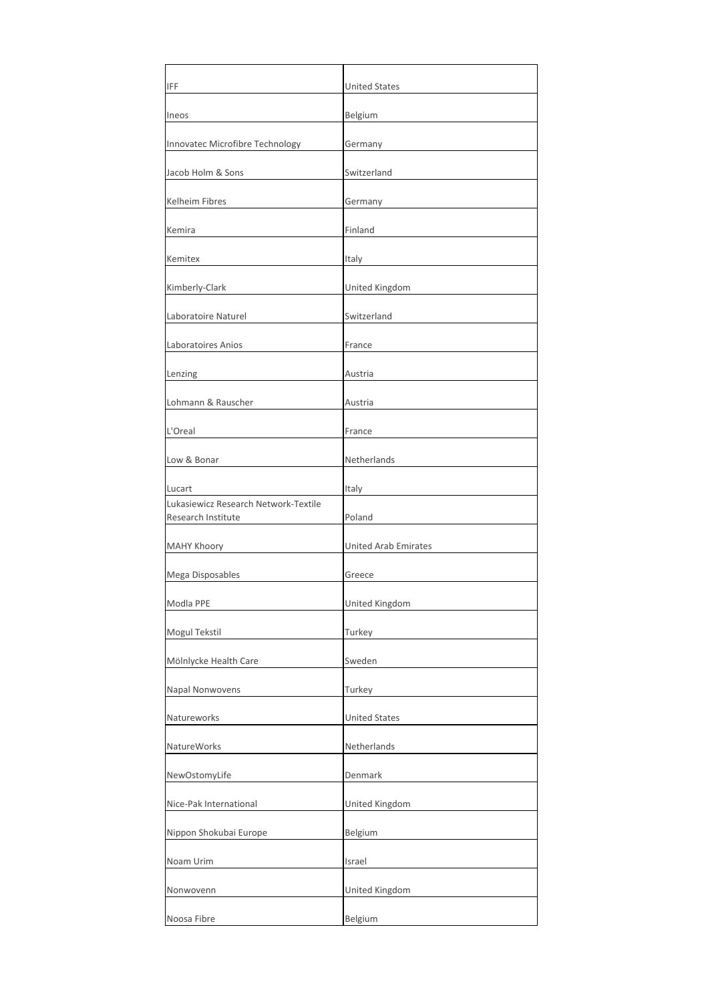| IFF                                                        | <b>United States</b>        |
|------------------------------------------------------------|-----------------------------|
| Ineos                                                      | Belgium                     |
| Innovatec Microfibre Technology                            | Germany                     |
| Jacob Holm & Sons                                          | Switzerland                 |
| <b>Kelheim Fibres</b>                                      | Germany                     |
| Kemira                                                     | Finland                     |
| Kemitex                                                    | Italy                       |
| Kimberly-Clark                                             | United Kingdom              |
| Laboratoire Naturel                                        | Switzerland                 |
| Laboratoires Anios                                         | France                      |
| Lenzing                                                    | Austria                     |
| Lohmann & Rauscher                                         | Austria                     |
| L'Oreal                                                    | France                      |
| Low & Bonar                                                | Netherlands                 |
| Lucart                                                     | Italy                       |
| Lukasiewicz Research Network-Textile<br>Research Institute | Poland                      |
| <b>MAHY Khoory</b>                                         | <b>United Arab Emirates</b> |
| Mega Disposables                                           | Greece                      |
| Modla PPE                                                  | United Kingdom              |
| Mogul Tekstil                                              | Turkey                      |
| Mölnlycke Health Care                                      | Sweden                      |
| Napal Nonwovens                                            | Turkey                      |
| Natureworks                                                | <b>United States</b>        |
| NatureWorks                                                | Netherlands                 |
| NewOstomyLife                                              | Denmark                     |
| Nice-Pak International                                     | United Kingdom              |
| Nippon Shokubai Europe                                     | Belgium                     |
| Noam Urim                                                  | Israel                      |
| Nonwovenn                                                  | United Kingdom              |
| Noosa Fibre                                                | Belgium                     |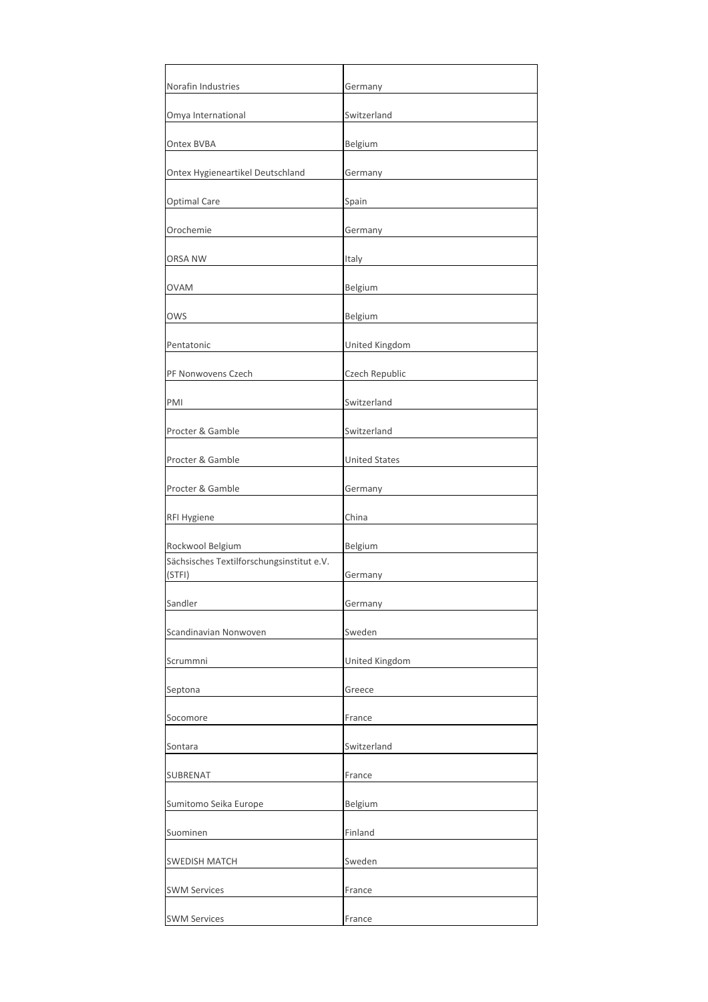| Germany              |
|----------------------|
| Switzerland          |
| Belgium              |
| Germany              |
| Spain                |
| Germany              |
| Italy                |
| Belgium              |
| Belgium              |
| United Kingdom       |
| Czech Republic       |
| Switzerland          |
| Switzerland          |
| <b>United States</b> |
| Germany              |
| China                |
| Belgium              |
| Germany              |
| Germany              |
| Sweden               |
| United Kingdom       |
| Greece               |
| France               |
| Switzerland          |
| France               |
| Belgium              |
| Finland              |
| Sweden               |
| France               |
| France               |
|                      |